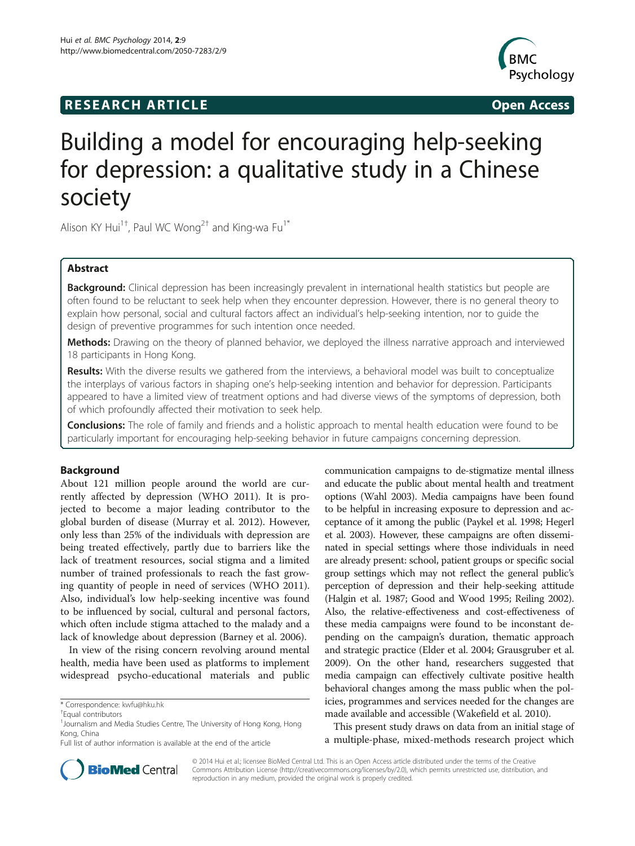## **RESEARCH ARTICLE Example 2014 CONSIDERING CONSIDERING CONSIDERING CONSIDERING CONSIDERING CONSIDERING CONSIDERING CONSIDERING CONSIDERING CONSIDERING CONSIDERING CONSIDERING CONSIDERING CONSIDERING CONSIDERING CONSIDE**



# Building a model for encouraging help-seeking for depression: a qualitative study in a Chinese society

Alison KY Hui<sup>1†</sup>, Paul WC Wong<sup>2†</sup> and King-wa Fu<sup>1\*</sup>

## Abstract

Background: Clinical depression has been increasingly prevalent in international health statistics but people are often found to be reluctant to seek help when they encounter depression. However, there is no general theory to explain how personal, social and cultural factors affect an individual's help-seeking intention, nor to guide the design of preventive programmes for such intention once needed.

Methods: Drawing on the theory of planned behavior, we deployed the illness narrative approach and interviewed 18 participants in Hong Kong.

Results: With the diverse results we gathered from the interviews, a behavioral model was built to conceptualize the interplays of various factors in shaping one's help-seeking intention and behavior for depression. Participants appeared to have a limited view of treatment options and had diverse views of the symptoms of depression, both of which profoundly affected their motivation to seek help.

Conclusions: The role of family and friends and a holistic approach to mental health education were found to be particularly important for encouraging help-seeking behavior in future campaigns concerning depression.

## Background

About 121 million people around the world are currently affected by depression (WHO [2011](#page-11-0)). It is projected to become a major leading contributor to the global burden of disease (Murray et al. [2012](#page-11-0)). However, only less than 25% of the individuals with depression are being treated effectively, partly due to barriers like the lack of treatment resources, social stigma and a limited number of trained professionals to reach the fast growing quantity of people in need of services (WHO [2011](#page-11-0)). Also, individual's low help-seeking incentive was found to be influenced by social, cultural and personal factors, which often include stigma attached to the malady and a lack of knowledge about depression (Barney et al. [2006](#page-10-0)).

In view of the rising concern revolving around mental health, media have been used as platforms to implement widespread psycho-educational materials and public

communication campaigns to de-stigmatize mental illness and educate the public about mental health and treatment options (Wahl [2003](#page-11-0)). Media campaigns have been found to be helpful in increasing exposure to depression and acceptance of it among the public (Paykel et al. [1998;](#page-11-0) Hegerl et al. [2003](#page-10-0)). However, these campaigns are often disseminated in special settings where those individuals in need are already present: school, patient groups or specific social group settings which may not reflect the general public's perception of depression and their help-seeking attitude (Halgin et al. [1987](#page-10-0); Good and Wood [1995;](#page-10-0) Reiling [2002](#page-11-0)). Also, the relative-effectiveness and cost-effectiveness of these media campaigns were found to be inconstant depending on the campaign's duration, thematic approach and strategic practice (Elder et al. [2004](#page-10-0); Grausgruber et al. [2009](#page-10-0)). On the other hand, researchers suggested that media campaign can effectively cultivate positive health behavioral changes among the mass public when the policies, programmes and services needed for the changes are made available and accessible (Wakefield et al. [2010\)](#page-11-0).

This present study draws on data from an initial stage of a multiple-phase, mixed-methods research project which



© 2014 Hui et al.; licensee BioMed Central Ltd. This is an Open Access article distributed under the terms of the Creative Commons Attribution License [\(http://creativecommons.org/licenses/by/2.0\)](http://creativecommons.org/licenses/by/2.0), which permits unrestricted use, distribution, and reproduction in any medium, provided the original work is properly credited.

<sup>\*</sup> Correspondence: [kwfu@hku.hk](mailto:kwfu@hku.hk) †

Equal contributors

<sup>&</sup>lt;sup>1</sup> Journalism and Media Studies Centre, The University of Hong Kong, Hong Kong, China

Full list of author information is available at the end of the article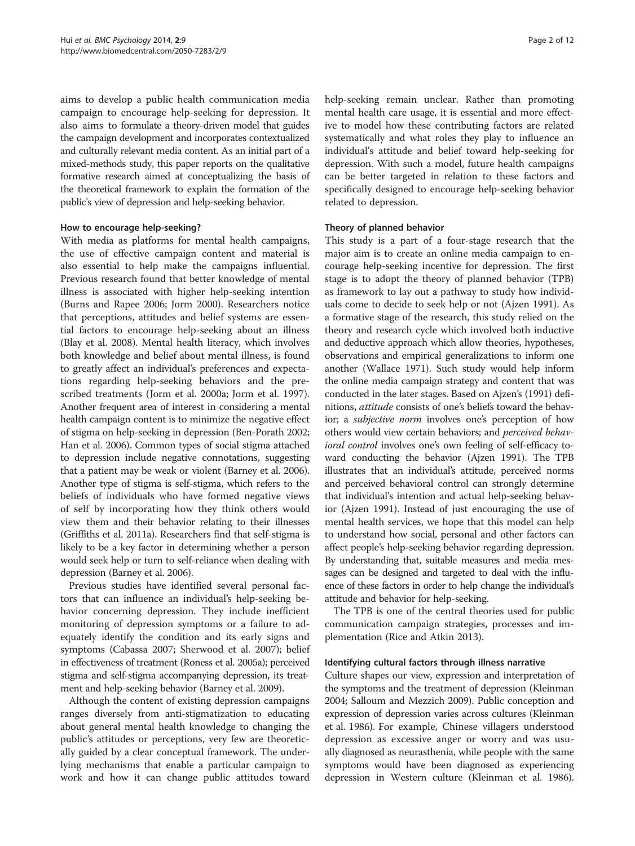aims to develop a public health communication media campaign to encourage help-seeking for depression. It also aims to formulate a theory-driven model that guides the campaign development and incorporates contextualized and culturally relevant media content. As an initial part of a mixed-methods study, this paper reports on the qualitative formative research aimed at conceptualizing the basis of the theoretical framework to explain the formation of the public's view of depression and help-seeking behavior.

#### How to encourage help-seeking?

With media as platforms for mental health campaigns, the use of effective campaign content and material is also essential to help make the campaigns influential. Previous research found that better knowledge of mental illness is associated with higher help-seeking intention (Burns and Rapee [2006;](#page-10-0) Jorm [2000](#page-10-0)). Researchers notice that perceptions, attitudes and belief systems are essential factors to encourage help-seeking about an illness (Blay et al. [2008](#page-10-0)). Mental health literacy, which involves both knowledge and belief about mental illness, is found to greatly affect an individual's preferences and expectations regarding help-seeking behaviors and the prescribed treatments (Jorm et al. [2000a](#page-10-0); Jorm et al. [1997](#page-10-0)). Another frequent area of interest in considering a mental health campaign content is to minimize the negative effect of stigma on help-seeking in depression (Ben-Porath [2002](#page-10-0); Han et al. [2006](#page-10-0)). Common types of social stigma attached to depression include negative connotations, suggesting that a patient may be weak or violent (Barney et al. [2006](#page-10-0)). Another type of stigma is self-stigma, which refers to the beliefs of individuals who have formed negative views of self by incorporating how they think others would view them and their behavior relating to their illnesses (Griffiths et al. [2011a](#page-10-0)). Researchers find that self-stigma is likely to be a key factor in determining whether a person would seek help or turn to self-reliance when dealing with depression (Barney et al. [2006](#page-10-0)).

Previous studies have identified several personal factors that can influence an individual's help-seeking behavior concerning depression. They include inefficient monitoring of depression symptoms or a failure to adequately identify the condition and its early signs and symptoms (Cabassa [2007;](#page-10-0) Sherwood et al. [2007](#page-11-0)); belief in effectiveness of treatment (Roness et al. [2005a\)](#page-11-0); perceived stigma and self-stigma accompanying depression, its treatment and help-seeking behavior (Barney et al. [2009](#page-10-0)).

Although the content of existing depression campaigns ranges diversely from anti-stigmatization to educating about general mental health knowledge to changing the public's attitudes or perceptions, very few are theoretically guided by a clear conceptual framework. The underlying mechanisms that enable a particular campaign to work and how it can change public attitudes toward help-seeking remain unclear. Rather than promoting mental health care usage, it is essential and more effective to model how these contributing factors are related systematically and what roles they play to influence an individual's attitude and belief toward help-seeking for depression. With such a model, future health campaigns can be better targeted in relation to these factors and specifically designed to encourage help-seeking behavior related to depression.

#### Theory of planned behavior

This study is a part of a four-stage research that the major aim is to create an online media campaign to encourage help-seeking incentive for depression. The first stage is to adopt the theory of planned behavior (TPB) as framework to lay out a pathway to study how individuals come to decide to seek help or not (Ajzen [1991](#page-10-0)). As a formative stage of the research, this study relied on the theory and research cycle which involved both inductive and deductive approach which allow theories, hypotheses, observations and empirical generalizations to inform one another (Wallace [1971](#page-11-0)). Such study would help inform the online media campaign strategy and content that was conducted in the later stages. Based on Ajzen's [\(1991\)](#page-10-0) definitions, attitude consists of one's beliefs toward the behavior; a subjective norm involves one's perception of how others would view certain behaviors; and perceived behavioral control involves one's own feeling of self-efficacy toward conducting the behavior (Ajzen [1991](#page-10-0)). The TPB illustrates that an individual's attitude, perceived norms and perceived behavioral control can strongly determine that individual's intention and actual help-seeking behavior (Ajzen [1991\)](#page-10-0). Instead of just encouraging the use of mental health services, we hope that this model can help to understand how social, personal and other factors can affect people's help-seeking behavior regarding depression. By understanding that, suitable measures and media messages can be designed and targeted to deal with the influence of these factors in order to help change the individual's attitude and behavior for help-seeking.

The TPB is one of the central theories used for public communication campaign strategies, processes and implementation (Rice and Atkin [2013\)](#page-11-0).

#### Identifying cultural factors through illness narrative

Culture shapes our view, expression and interpretation of the symptoms and the treatment of depression (Kleinman [2004](#page-11-0); Salloum and Mezzich [2009\)](#page-11-0). Public conception and expression of depression varies across cultures (Kleinman et al. [1986\)](#page-11-0). For example, Chinese villagers understood depression as excessive anger or worry and was usually diagnosed as neurasthenia, while people with the same symptoms would have been diagnosed as experiencing depression in Western culture (Kleinman et al. [1986](#page-11-0)).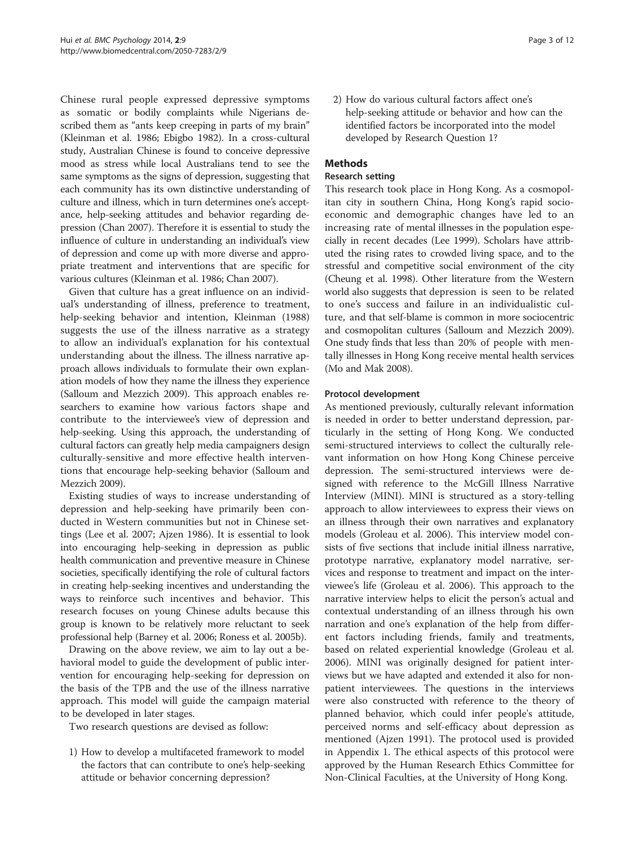Chinese rural people expressed depressive symptoms as somatic or bodily complaints while Nigerians described them as "ants keep creeping in parts of my brain" (Kleinman et al. [1986](#page-11-0); Ebigbo [1982\)](#page-10-0). In a cross-cultural study, Australian Chinese is found to conceive depressive mood as stress while local Australians tend to see the same symptoms as the signs of depression, suggesting that each community has its own distinctive understanding of culture and illness, which in turn determines one's acceptance, help-seeking attitudes and behavior regarding depression (Chan [2007](#page-10-0)). Therefore it is essential to study the influence of culture in understanding an individual's view of depression and come up with more diverse and appropriate treatment and interventions that are specific for various cultures (Kleinman et al. [1986;](#page-11-0) Chan [2007\)](#page-10-0).

Given that culture has a great influence on an individual's understanding of illness, preference to treatment, help-seeking behavior and intention, Kleinman ([1988](#page-11-0)) suggests the use of the illness narrative as a strategy to allow an individual's explanation for his contextual understanding about the illness. The illness narrative approach allows individuals to formulate their own explanation models of how they name the illness they experience (Salloum and Mezzich [2009\)](#page-11-0). This approach enables researchers to examine how various factors shape and contribute to the interviewee's view of depression and help-seeking. Using this approach, the understanding of cultural factors can greatly help media campaigners design culturally-sensitive and more effective health interventions that encourage help-seeking behavior (Salloum and Mezzich [2009](#page-11-0)).

Existing studies of ways to increase understanding of depression and help-seeking have primarily been conducted in Western communities but not in Chinese settings (Lee et al. [2007](#page-11-0); Ajzen [1986](#page-10-0)). It is essential to look into encouraging help-seeking in depression as public health communication and preventive measure in Chinese societies, specifically identifying the role of cultural factors in creating help-seeking incentives and understanding the ways to reinforce such incentives and behavior. This research focuses on young Chinese adults because this group is known to be relatively more reluctant to seek professional help (Barney et al. [2006](#page-10-0); Roness et al. [2005b](#page-11-0)).

Drawing on the above review, we aim to lay out a behavioral model to guide the development of public intervention for encouraging help-seeking for depression on the basis of the TPB and the use of the illness narrative approach. This model will guide the campaign material to be developed in later stages.

Two research questions are devised as follow:

1) How to develop a multifaceted framework to model the factors that can contribute to one's help-seeking attitude or behavior concerning depression?

2) How do various cultural factors affect one's help-seeking attitude or behavior and how can the identified factors be incorporated into the model developed by Research Question 1?

## Methods

#### Research setting

This research took place in Hong Kong. As a cosmopolitan city in southern China, Hong Kong's rapid socioeconomic and demographic changes have led to an increasing rate of mental illnesses in the population especially in recent decades (Lee [1999\)](#page-11-0). Scholars have attributed the rising rates to crowded living space, and to the stressful and competitive social environment of the city (Cheung et al. [1998\)](#page-10-0). Other literature from the Western world also suggests that depression is seen to be related to one's success and failure in an individualistic culture, and that self-blame is common in more sociocentric and cosmopolitan cultures (Salloum and Mezzich [2009](#page-11-0)). One study finds that less than 20% of people with mentally illnesses in Hong Kong receive mental health services (Mo and Mak [2008\)](#page-11-0).

#### Protocol development

As mentioned previously, culturally relevant information is needed in order to better understand depression, particularly in the setting of Hong Kong. We conducted semi-structured interviews to collect the culturally relevant information on how Hong Kong Chinese perceive depression. The semi-structured interviews were designed with reference to the McGill Illness Narrative Interview (MINI). MINI is structured as a story-telling approach to allow interviewees to express their views on an illness through their own narratives and explanatory models (Groleau et al. [2006\)](#page-10-0). This interview model consists of five sections that include initial illness narrative, prototype narrative, explanatory model narrative, services and response to treatment and impact on the interviewee's life (Groleau et al. [2006\)](#page-10-0). This approach to the narrative interview helps to elicit the person's actual and contextual understanding of an illness through his own narration and one's explanation of the help from different factors including friends, family and treatments, based on related experiential knowledge (Groleau et al. [2006](#page-10-0)). MINI was originally designed for patient interviews but we have adapted and extended it also for nonpatient interviewees. The questions in the interviews were also constructed with reference to the theory of planned behavior, which could infer people's attitude, perceived norms and self-efficacy about depression as mentioned (Ajzen [1991](#page-10-0)). The protocol used is provided in Appendix [1](#page-9-0). The ethical aspects of this protocol were approved by the Human Research Ethics Committee for Non-Clinical Faculties, at the University of Hong Kong.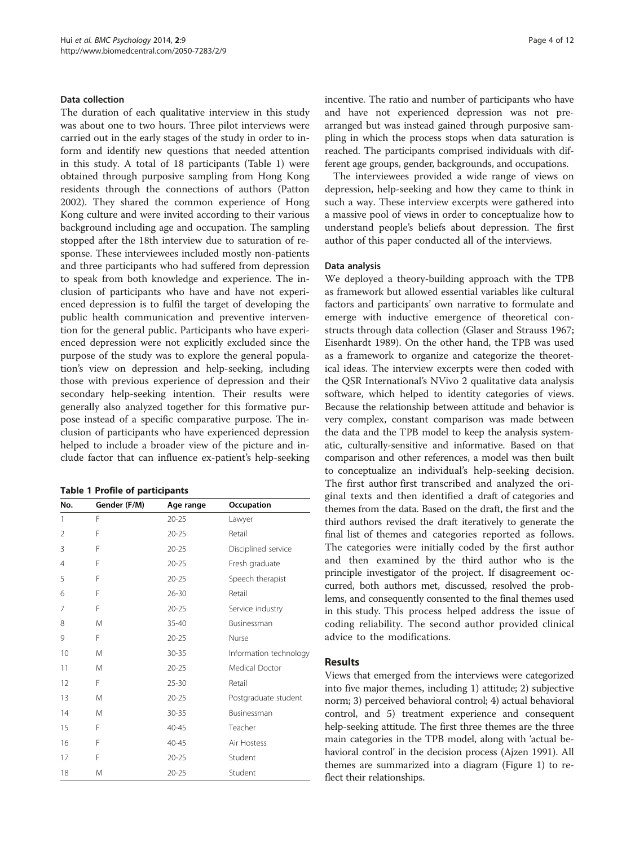#### Data collection

The duration of each qualitative interview in this study was about one to two hours. Three pilot interviews were carried out in the early stages of the study in order to inform and identify new questions that needed attention in this study. A total of 18 participants (Table 1) were obtained through purposive sampling from Hong Kong residents through the connections of authors (Patton [2002](#page-11-0)). They shared the common experience of Hong Kong culture and were invited according to their various background including age and occupation. The sampling stopped after the 18th interview due to saturation of response. These interviewees included mostly non-patients and three participants who had suffered from depression to speak from both knowledge and experience. The inclusion of participants who have and have not experienced depression is to fulfil the target of developing the public health communication and preventive intervention for the general public. Participants who have experienced depression were not explicitly excluded since the purpose of the study was to explore the general population's view on depression and help-seeking, including those with previous experience of depression and their secondary help-seeking intention. Their results were generally also analyzed together for this formative purpose instead of a specific comparative purpose. The inclusion of participants who have experienced depression helped to include a broader view of the picture and include factor that can influence ex-patient's help-seeking

|  |  | <b>Table 1 Profile of participants</b> |  |  |  |
|--|--|----------------------------------------|--|--|--|
|--|--|----------------------------------------|--|--|--|

| No.            | Gender (F/M) | Age range | Occupation             |
|----------------|--------------|-----------|------------------------|
| 1              | F            | $20 - 25$ | Lawyer                 |
| 2              | F            | $20 - 25$ | Retail                 |
| 3              | F            | $20 - 25$ | Disciplined service    |
| $\overline{4}$ | F            | $20 - 25$ | Fresh graduate         |
| 5              | F            | $20 - 25$ | Speech therapist       |
| 6              | F            | $26 - 30$ | Retail                 |
| 7              | F            | $20 - 25$ | Service industry       |
| 8              | M            | $35 - 40$ | Businessman            |
| 9              | F            | $20 - 25$ | Nurse                  |
| 10             | M            | $30 - 35$ | Information technology |
| 11             | M            | $20 - 25$ | Medical Doctor         |
| 12             | F            | $25 - 30$ | Retail                 |
| 13             | M            | $20 - 25$ | Postgraduate student   |
| 14             | M            | $30 - 35$ | Businessman            |
| 15             | F            | $40 - 45$ | Teacher                |
| 16             | F            | $40 - 45$ | Air Hostess            |
| 17             | F            | $20 - 25$ | Student                |
| 18             | M            | $20 - 25$ | Student                |

incentive. The ratio and number of participants who have and have not experienced depression was not prearranged but was instead gained through purposive sampling in which the process stops when data saturation is reached. The participants comprised individuals with different age groups, gender, backgrounds, and occupations.

The interviewees provided a wide range of views on depression, help-seeking and how they came to think in such a way. These interview excerpts were gathered into a massive pool of views in order to conceptualize how to understand people's beliefs about depression. The first author of this paper conducted all of the interviews.

#### Data analysis

We deployed a theory-building approach with the TPB as framework but allowed essential variables like cultural factors and participants' own narrative to formulate and emerge with inductive emergence of theoretical constructs through data collection (Glaser and Strauss [1967](#page-10-0); Eisenhardt [1989](#page-10-0)). On the other hand, the TPB was used as a framework to organize and categorize the theoretical ideas. The interview excerpts were then coded with the QSR International's NVivo 2 qualitative data analysis software, which helped to identity categories of views. Because the relationship between attitude and behavior is very complex, constant comparison was made between the data and the TPB model to keep the analysis systematic, culturally-sensitive and informative. Based on that comparison and other references, a model was then built to conceptualize an individual's help-seeking decision. The first author first transcribed and analyzed the original texts and then identified a draft of categories and themes from the data. Based on the draft, the first and the third authors revised the draft iteratively to generate the final list of themes and categories reported as follows. The categories were initially coded by the first author and then examined by the third author who is the principle investigator of the project. If disagreement occurred, both authors met, discussed, resolved the problems, and consequently consented to the final themes used in this study. This process helped address the issue of coding reliability. The second author provided clinical advice to the modifications.

#### Results

Views that emerged from the interviews were categorized into five major themes, including 1) attitude; 2) subjective norm; 3) perceived behavioral control; 4) actual behavioral control, and 5) treatment experience and consequent help-seeking attitude. The first three themes are the three main categories in the TPB model, along with 'actual behavioral control' in the decision process (Ajzen [1991](#page-10-0)). All themes are summarized into a diagram (Figure [1](#page-4-0)) to reflect their relationships.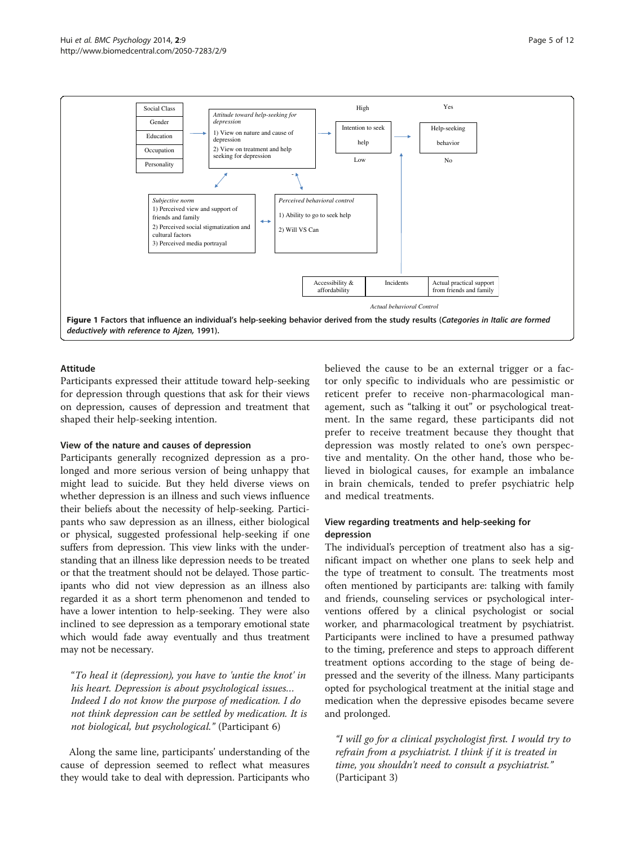

<span id="page-4-0"></span>

#### Attitude

Participants expressed their attitude toward help-seeking for depression through questions that ask for their views on depression, causes of depression and treatment that shaped their help-seeking intention.

#### View of the nature and causes of depression

Participants generally recognized depression as a prolonged and more serious version of being unhappy that might lead to suicide. But they held diverse views on whether depression is an illness and such views influence their beliefs about the necessity of help-seeking. Participants who saw depression as an illness, either biological or physical, suggested professional help-seeking if one suffers from depression. This view links with the understanding that an illness like depression needs to be treated or that the treatment should not be delayed. Those participants who did not view depression as an illness also regarded it as a short term phenomenon and tended to have a lower intention to help-seeking. They were also inclined to see depression as a temporary emotional state which would fade away eventually and thus treatment may not be necessary.

"To heal it (depression), you have to 'untie the knot' in his heart. Depression is about psychological issues… Indeed I do not know the purpose of medication. I do not think depression can be settled by medication. It is not biological, but psychological." (Participant 6)

Along the same line, participants' understanding of the cause of depression seemed to reflect what measures they would take to deal with depression. Participants who believed the cause to be an external trigger or a factor only specific to individuals who are pessimistic or reticent prefer to receive non-pharmacological management, such as "talking it out" or psychological treatment. In the same regard, these participants did not prefer to receive treatment because they thought that depression was mostly related to one's own perspective and mentality. On the other hand, those who believed in biological causes, for example an imbalance in brain chemicals, tended to prefer psychiatric help and medical treatments.

## View regarding treatments and help-seeking for depression

The individual's perception of treatment also has a significant impact on whether one plans to seek help and the type of treatment to consult. The treatments most often mentioned by participants are: talking with family and friends, counseling services or psychological interventions offered by a clinical psychologist or social worker, and pharmacological treatment by psychiatrist. Participants were inclined to have a presumed pathway to the timing, preference and steps to approach different treatment options according to the stage of being depressed and the severity of the illness. Many participants opted for psychological treatment at the initial stage and medication when the depressive episodes became severe and prolonged.

"I will go for a clinical psychologist first. I would try to refrain from a psychiatrist. I think if it is treated in time, you shouldn't need to consult a psychiatrist." (Participant 3)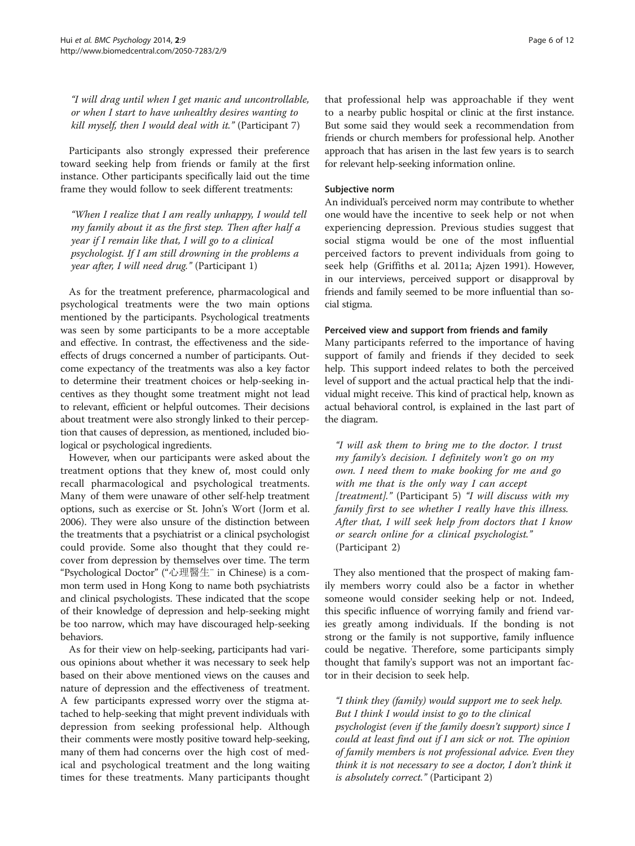"I will drag until when I get manic and uncontrollable, or when I start to have unhealthy desires wanting to kill myself, then I would deal with it." (Participant 7)

Participants also strongly expressed their preference toward seeking help from friends or family at the first instance. Other participants specifically laid out the time frame they would follow to seek different treatments:

"When I realize that I am really unhappy, I would tell my family about it as the first step. Then after half a year if I remain like that, I will go to a clinical psychologist. If I am still drowning in the problems a year after, I will need drug." (Participant 1)

As for the treatment preference, pharmacological and psychological treatments were the two main options mentioned by the participants. Psychological treatments was seen by some participants to be a more acceptable and effective. In contrast, the effectiveness and the sideeffects of drugs concerned a number of participants. Outcome expectancy of the treatments was also a key factor to determine their treatment choices or help-seeking incentives as they thought some treatment might not lead to relevant, efficient or helpful outcomes. Their decisions about treatment were also strongly linked to their perception that causes of depression, as mentioned, included biological or psychological ingredients.

However, when our participants were asked about the treatment options that they knew of, most could only recall pharmacological and psychological treatments. Many of them were unaware of other self-help treatment options, such as exercise or St. John's Wort (Jorm et al. [2006\)](#page-11-0). They were also unsure of the distinction between the treatments that a psychiatrist or a clinical psychologist could provide. Some also thought that they could recover from depression by themselves over time. The term "Psychological Doctor" ("心理醫生¨ in Chinese) is a common term used in Hong Kong to name both psychiatrists and clinical psychologists. These indicated that the scope of their knowledge of depression and help-seeking might be too narrow, which may have discouraged help-seeking behaviors.

As for their view on help-seeking, participants had various opinions about whether it was necessary to seek help based on their above mentioned views on the causes and nature of depression and the effectiveness of treatment. A few participants expressed worry over the stigma attached to help-seeking that might prevent individuals with depression from seeking professional help. Although their comments were mostly positive toward help-seeking, many of them had concerns over the high cost of medical and psychological treatment and the long waiting times for these treatments. Many participants thought

that professional help was approachable if they went to a nearby public hospital or clinic at the first instance. But some said they would seek a recommendation from friends or church members for professional help. Another approach that has arisen in the last few years is to search for relevant help-seeking information online.

#### Subjective norm

An individual's perceived norm may contribute to whether one would have the incentive to seek help or not when experiencing depression. Previous studies suggest that social stigma would be one of the most influential perceived factors to prevent individuals from going to seek help (Griffiths et al. [2011a](#page-10-0); Ajzen [1991](#page-10-0)). However, in our interviews, perceived support or disapproval by friends and family seemed to be more influential than social stigma.

#### Perceived view and support from friends and family

Many participants referred to the importance of having support of family and friends if they decided to seek help. This support indeed relates to both the perceived level of support and the actual practical help that the individual might receive. This kind of practical help, known as actual behavioral control, is explained in the last part of the diagram.

"I will ask them to bring me to the doctor. I trust my family's decision. I definitely won't go on my own. I need them to make booking for me and go with me that is the only way I can accept [treatment]." (Participant 5) "I will discuss with  $my$ family first to see whether I really have this illness. After that, I will seek help from doctors that I know or search online for a clinical psychologist." (Participant 2)

They also mentioned that the prospect of making family members worry could also be a factor in whether someone would consider seeking help or not. Indeed, this specific influence of worrying family and friend varies greatly among individuals. If the bonding is not strong or the family is not supportive, family influence could be negative. Therefore, some participants simply thought that family's support was not an important factor in their decision to seek help.

"I think they (family) would support me to seek help. But I think I would insist to go to the clinical psychologist (even if the family doesn't support) since I could at least find out if I am sick or not. The opinion of family members is not professional advice. Even they think it is not necessary to see a doctor, I don't think it is absolutely correct." (Participant 2)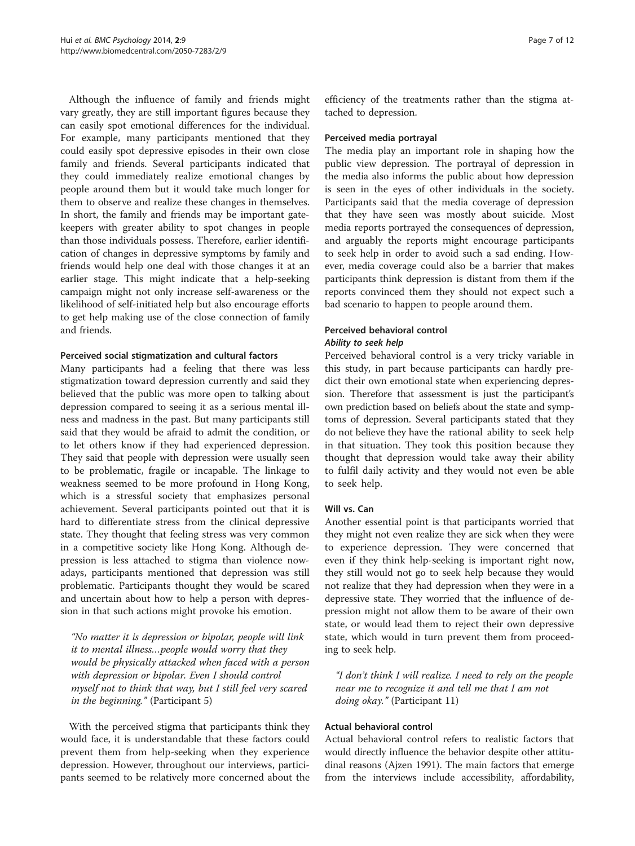Although the influence of family and friends might vary greatly, they are still important figures because they can easily spot emotional differences for the individual. For example, many participants mentioned that they could easily spot depressive episodes in their own close family and friends. Several participants indicated that they could immediately realize emotional changes by people around them but it would take much longer for them to observe and realize these changes in themselves. In short, the family and friends may be important gatekeepers with greater ability to spot changes in people than those individuals possess. Therefore, earlier identification of changes in depressive symptoms by family and friends would help one deal with those changes it at an earlier stage. This might indicate that a help-seeking campaign might not only increase self-awareness or the likelihood of self-initiated help but also encourage efforts to get help making use of the close connection of family and friends.

#### Perceived social stigmatization and cultural factors

Many participants had a feeling that there was less stigmatization toward depression currently and said they believed that the public was more open to talking about depression compared to seeing it as a serious mental illness and madness in the past. But many participants still said that they would be afraid to admit the condition, or to let others know if they had experienced depression. They said that people with depression were usually seen to be problematic, fragile or incapable. The linkage to weakness seemed to be more profound in Hong Kong, which is a stressful society that emphasizes personal achievement. Several participants pointed out that it is hard to differentiate stress from the clinical depressive state. They thought that feeling stress was very common in a competitive society like Hong Kong. Although depression is less attached to stigma than violence nowadays, participants mentioned that depression was still problematic. Participants thought they would be scared and uncertain about how to help a person with depression in that such actions might provoke his emotion.

"No matter it is depression or bipolar, people will link it to mental illness…people would worry that they would be physically attacked when faced with a person with depression or bipolar. Even I should control myself not to think that way, but I still feel very scared in the beginning." (Participant 5)

With the perceived stigma that participants think they would face, it is understandable that these factors could prevent them from help-seeking when they experience depression. However, throughout our interviews, participants seemed to be relatively more concerned about the efficiency of the treatments rather than the stigma attached to depression.

#### Perceived media portrayal

The media play an important role in shaping how the public view depression. The portrayal of depression in the media also informs the public about how depression is seen in the eyes of other individuals in the society. Participants said that the media coverage of depression that they have seen was mostly about suicide. Most media reports portrayed the consequences of depression, and arguably the reports might encourage participants to seek help in order to avoid such a sad ending. However, media coverage could also be a barrier that makes participants think depression is distant from them if the reports convinced them they should not expect such a bad scenario to happen to people around them.

## Perceived behavioral control Ability to seek help

Perceived behavioral control is a very tricky variable in this study, in part because participants can hardly predict their own emotional state when experiencing depression. Therefore that assessment is just the participant's own prediction based on beliefs about the state and symptoms of depression. Several participants stated that they do not believe they have the rational ability to seek help in that situation. They took this position because they thought that depression would take away their ability to fulfil daily activity and they would not even be able to seek help.

## Will vs. Can

Another essential point is that participants worried that they might not even realize they are sick when they were to experience depression. They were concerned that even if they think help-seeking is important right now, they still would not go to seek help because they would not realize that they had depression when they were in a depressive state. They worried that the influence of depression might not allow them to be aware of their own state, or would lead them to reject their own depressive state, which would in turn prevent them from proceeding to seek help.

"I don't think I will realize. I need to rely on the people near me to recognize it and tell me that I am not doing okay." (Participant 11)

#### Actual behavioral control

Actual behavioral control refers to realistic factors that would directly influence the behavior despite other attitudinal reasons (Ajzen [1991](#page-10-0)). The main factors that emerge from the interviews include accessibility, affordability,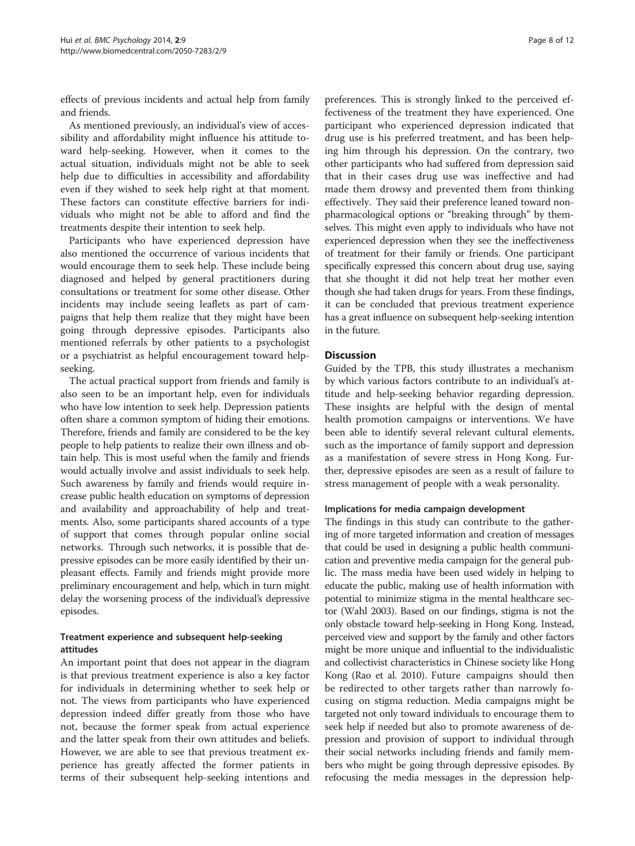effects of previous incidents and actual help from family and friends.

As mentioned previously, an individual's view of accessibility and affordability might influence his attitude toward help-seeking. However, when it comes to the actual situation, individuals might not be able to seek help due to difficulties in accessibility and affordability even if they wished to seek help right at that moment. These factors can constitute effective barriers for individuals who might not be able to afford and find the treatments despite their intention to seek help.

Participants who have experienced depression have also mentioned the occurrence of various incidents that would encourage them to seek help. These include being diagnosed and helped by general practitioners during consultations or treatment for some other disease. Other incidents may include seeing leaflets as part of campaigns that help them realize that they might have been going through depressive episodes. Participants also mentioned referrals by other patients to a psychologist or a psychiatrist as helpful encouragement toward helpseeking.

The actual practical support from friends and family is also seen to be an important help, even for individuals who have low intention to seek help. Depression patients often share a common symptom of hiding their emotions. Therefore, friends and family are considered to be the key people to help patients to realize their own illness and obtain help. This is most useful when the family and friends would actually involve and assist individuals to seek help. Such awareness by family and friends would require increase public health education on symptoms of depression and availability and approachability of help and treatments. Also, some participants shared accounts of a type of support that comes through popular online social networks. Through such networks, it is possible that depressive episodes can be more easily identified by their unpleasant effects. Family and friends might provide more preliminary encouragement and help, which in turn might delay the worsening process of the individual's depressive episodes.

## Treatment experience and subsequent help-seeking attitudes

An important point that does not appear in the diagram is that previous treatment experience is also a key factor for individuals in determining whether to seek help or not. The views from participants who have experienced depression indeed differ greatly from those who have not, because the former speak from actual experience and the latter speak from their own attitudes and beliefs. However, we are able to see that previous treatment experience has greatly affected the former patients in terms of their subsequent help-seeking intentions and

preferences. This is strongly linked to the perceived effectiveness of the treatment they have experienced. One participant who experienced depression indicated that drug use is his preferred treatment, and has been helping him through his depression. On the contrary, two other participants who had suffered from depression said that in their cases drug use was ineffective and had made them drowsy and prevented them from thinking effectively. They said their preference leaned toward nonpharmacological options or "breaking through" by themselves. This might even apply to individuals who have not experienced depression when they see the ineffectiveness of treatment for their family or friends. One participant specifically expressed this concern about drug use, saying that she thought it did not help treat her mother even though she had taken drugs for years. From these findings, it can be concluded that previous treatment experience has a great influence on subsequent help-seeking intention in the future.

## **Discussion**

Guided by the TPB, this study illustrates a mechanism by which various factors contribute to an individual's attitude and help-seeking behavior regarding depression. These insights are helpful with the design of mental health promotion campaigns or interventions. We have been able to identify several relevant cultural elements, such as the importance of family support and depression as a manifestation of severe stress in Hong Kong. Further, depressive episodes are seen as a result of failure to stress management of people with a weak personality.

## Implications for media campaign development

The findings in this study can contribute to the gathering of more targeted information and creation of messages that could be used in designing a public health communication and preventive media campaign for the general public. The mass media have been used widely in helping to educate the public, making use of health information with potential to minimize stigma in the mental healthcare sector (Wahl [2003\)](#page-11-0). Based on our findings, stigma is not the only obstacle toward help-seeking in Hong Kong. Instead, perceived view and support by the family and other factors might be more unique and influential to the individualistic and collectivist characteristics in Chinese society like Hong Kong (Rao et al. [2010](#page-11-0)). Future campaigns should then be redirected to other targets rather than narrowly focusing on stigma reduction. Media campaigns might be targeted not only toward individuals to encourage them to seek help if needed but also to promote awareness of depression and provision of support to individual through their social networks including friends and family members who might be going through depressive episodes. By refocusing the media messages in the depression help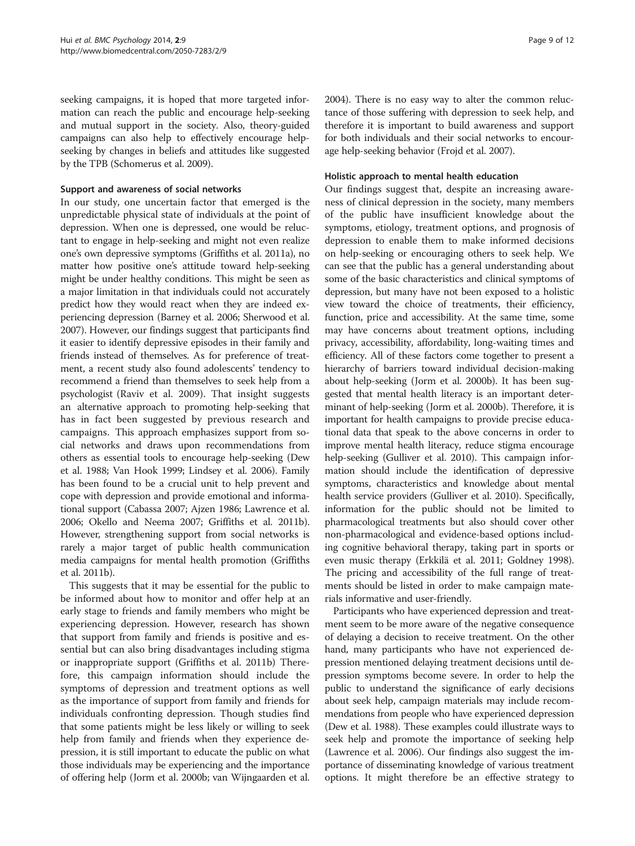seeking campaigns, it is hoped that more targeted information can reach the public and encourage help-seeking and mutual support in the society. Also, theory-guided campaigns can also help to effectively encourage helpseeking by changes in beliefs and attitudes like suggested by the TPB (Schomerus et al. [2009\)](#page-11-0).

## Support and awareness of social networks

In our study, one uncertain factor that emerged is the unpredictable physical state of individuals at the point of depression. When one is depressed, one would be reluctant to engage in help-seeking and might not even realize one's own depressive symptoms (Griffiths et al. [2011a](#page-10-0)), no matter how positive one's attitude toward help-seeking might be under healthy conditions. This might be seen as a major limitation in that individuals could not accurately predict how they would react when they are indeed experiencing depression (Barney et al. [2006;](#page-10-0) Sherwood et al. [2007\)](#page-11-0). However, our findings suggest that participants find it easier to identify depressive episodes in their family and friends instead of themselves. As for preference of treatment, a recent study also found adolescents' tendency to recommend a friend than themselves to seek help from a psychologist (Raviv et al. [2009\)](#page-11-0). That insight suggests an alternative approach to promoting help-seeking that has in fact been suggested by previous research and campaigns. This approach emphasizes support from social networks and draws upon recommendations from others as essential tools to encourage help-seeking (Dew et al. [1988](#page-10-0); Van Hook [1999](#page-11-0); Lindsey et al. [2006\)](#page-11-0). Family has been found to be a crucial unit to help prevent and cope with depression and provide emotional and informational support (Cabassa [2007;](#page-10-0) Ajzen [1986](#page-10-0); Lawrence et al. [2006;](#page-11-0) Okello and Neema [2007](#page-11-0); Griffiths et al. [2011b](#page-10-0)). However, strengthening support from social networks is rarely a major target of public health communication media campaigns for mental health promotion (Griffiths et al. [2011b\)](#page-10-0).

This suggests that it may be essential for the public to be informed about how to monitor and offer help at an early stage to friends and family members who might be experiencing depression. However, research has shown that support from family and friends is positive and essential but can also bring disadvantages including stigma or inappropriate support (Griffiths et al. [2011b](#page-10-0)) Therefore, this campaign information should include the symptoms of depression and treatment options as well as the importance of support from family and friends for individuals confronting depression. Though studies find that some patients might be less likely or willing to seek help from family and friends when they experience depression, it is still important to educate the public on what those individuals may be experiencing and the importance of offering help (Jorm et al. [2000b](#page-11-0); van Wijngaarden et al. [2004\)](#page-11-0). There is no easy way to alter the common reluctance of those suffering with depression to seek help, and therefore it is important to build awareness and support for both individuals and their social networks to encourage help-seeking behavior (Frojd et al. [2007\)](#page-10-0).

#### Holistic approach to mental health education

Our findings suggest that, despite an increasing awareness of clinical depression in the society, many members of the public have insufficient knowledge about the symptoms, etiology, treatment options, and prognosis of depression to enable them to make informed decisions on help-seeking or encouraging others to seek help. We can see that the public has a general understanding about some of the basic characteristics and clinical symptoms of depression, but many have not been exposed to a holistic view toward the choice of treatments, their efficiency, function, price and accessibility. At the same time, some may have concerns about treatment options, including privacy, accessibility, affordability, long-waiting times and efficiency. All of these factors come together to present a hierarchy of barriers toward individual decision-making about help-seeking (Jorm et al. [2000b\)](#page-11-0). It has been suggested that mental health literacy is an important determinant of help-seeking (Jorm et al. [2000b\)](#page-11-0). Therefore, it is important for health campaigns to provide precise educational data that speak to the above concerns in order to improve mental health literacy, reduce stigma encourage help-seeking (Gulliver et al. [2010](#page-10-0)). This campaign information should include the identification of depressive symptoms, characteristics and knowledge about mental health service providers (Gulliver et al. [2010\)](#page-10-0). Specifically, information for the public should not be limited to pharmacological treatments but also should cover other non-pharmacological and evidence-based options including cognitive behavioral therapy, taking part in sports or even music therapy (Erkkilä et al. [2011;](#page-10-0) Goldney [1998](#page-10-0)). The pricing and accessibility of the full range of treatments should be listed in order to make campaign materials informative and user-friendly.

Participants who have experienced depression and treatment seem to be more aware of the negative consequence of delaying a decision to receive treatment. On the other hand, many participants who have not experienced depression mentioned delaying treatment decisions until depression symptoms become severe. In order to help the public to understand the significance of early decisions about seek help, campaign materials may include recommendations from people who have experienced depression (Dew et al. [1988](#page-10-0)). These examples could illustrate ways to seek help and promote the importance of seeking help (Lawrence et al. [2006](#page-11-0)). Our findings also suggest the importance of disseminating knowledge of various treatment options. It might therefore be an effective strategy to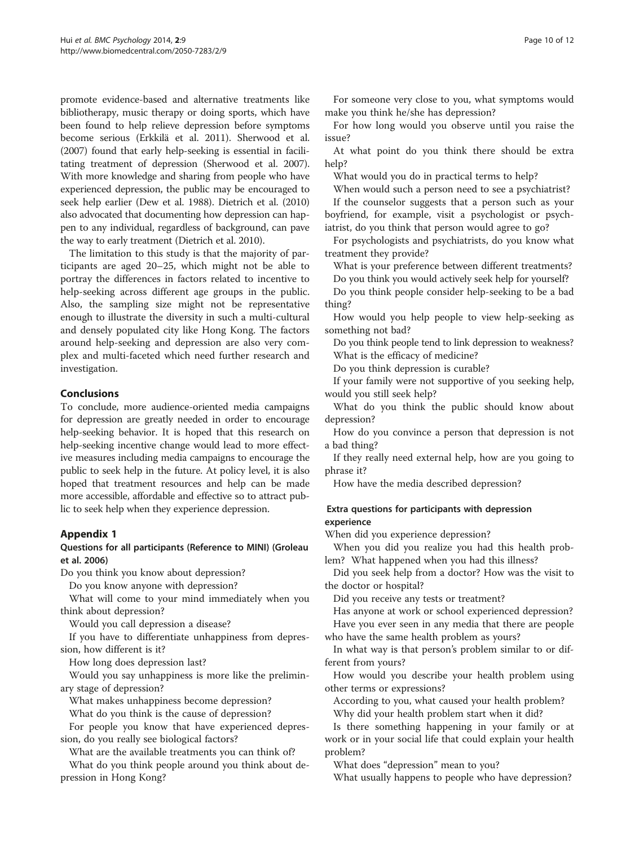<span id="page-9-0"></span>promote evidence-based and alternative treatments like bibliotherapy, music therapy or doing sports, which have been found to help relieve depression before symptoms become serious (Erkkilä et al. [2011\)](#page-10-0). Sherwood et al. ([2007](#page-11-0)) found that early help-seeking is essential in facilitating treatment of depression (Sherwood et al. [2007](#page-11-0)). With more knowledge and sharing from people who have experienced depression, the public may be encouraged to seek help earlier (Dew et al. [1988\)](#page-10-0). Dietrich et al. [\(2010](#page-10-0)) also advocated that documenting how depression can happen to any individual, regardless of background, can pave the way to early treatment (Dietrich et al. [2010](#page-10-0)).

The limitation to this study is that the majority of participants are aged 20–25, which might not be able to portray the differences in factors related to incentive to help-seeking across different age groups in the public. Also, the sampling size might not be representative enough to illustrate the diversity in such a multi-cultural and densely populated city like Hong Kong. The factors around help-seeking and depression are also very complex and multi-faceted which need further research and investigation.

## Conclusions

To conclude, more audience-oriented media campaigns for depression are greatly needed in order to encourage help-seeking behavior. It is hoped that this research on help-seeking incentive change would lead to more effective measures including media campaigns to encourage the public to seek help in the future. At policy level, it is also hoped that treatment resources and help can be made more accessible, affordable and effective so to attract public to seek help when they experience depression.

## Appendix 1

## Questions for all participants (Reference to MINI) (Groleau et al. [2006\)](#page-10-0)

Do you think you know about depression?

Do you know anyone with depression?

What will come to your mind immediately when you think about depression?

Would you call depression a disease?

If you have to differentiate unhappiness from depression, how different is it?

How long does depression last?

Would you say unhappiness is more like the preliminary stage of depression?

What makes unhappiness become depression?

What do you think is the cause of depression?

For people you know that have experienced depression, do you really see biological factors?

What are the available treatments you can think of? What do you think people around you think about depression in Hong Kong?

For someone very close to you, what symptoms would make you think he/she has depression?

For how long would you observe until you raise the issue?

At what point do you think there should be extra help?

What would you do in practical terms to help?

When would such a person need to see a psychiatrist? If the counselor suggests that a person such as your boyfriend, for example, visit a psychologist or psychiatrist, do you think that person would agree to go?

For psychologists and psychiatrists, do you know what treatment they provide?

What is your preference between different treatments?

Do you think you would actively seek help for yourself?

Do you think people consider help-seeking to be a bad thing?

How would you help people to view help-seeking as something not bad?

Do you think people tend to link depression to weakness? What is the efficacy of medicine?

Do you think depression is curable?

If your family were not supportive of you seeking help, would you still seek help?

What do you think the public should know about depression?

How do you convince a person that depression is not a bad thing?

If they really need external help, how are you going to phrase it?

How have the media described depression?

## Extra questions for participants with depression experience

When did you experience depression?

When you did you realize you had this health problem? What happened when you had this illness?

Did you seek help from a doctor? How was the visit to the doctor or hospital?

Did you receive any tests or treatment?

Has anyone at work or school experienced depression? Have you ever seen in any media that there are people who have the same health problem as yours?

In what way is that person's problem similar to or different from yours?

How would you describe your health problem using other terms or expressions?

According to you, what caused your health problem? Why did your health problem start when it did?

Is there something happening in your family or at work or in your social life that could explain your health problem?

What does "depression" mean to you?

What usually happens to people who have depression?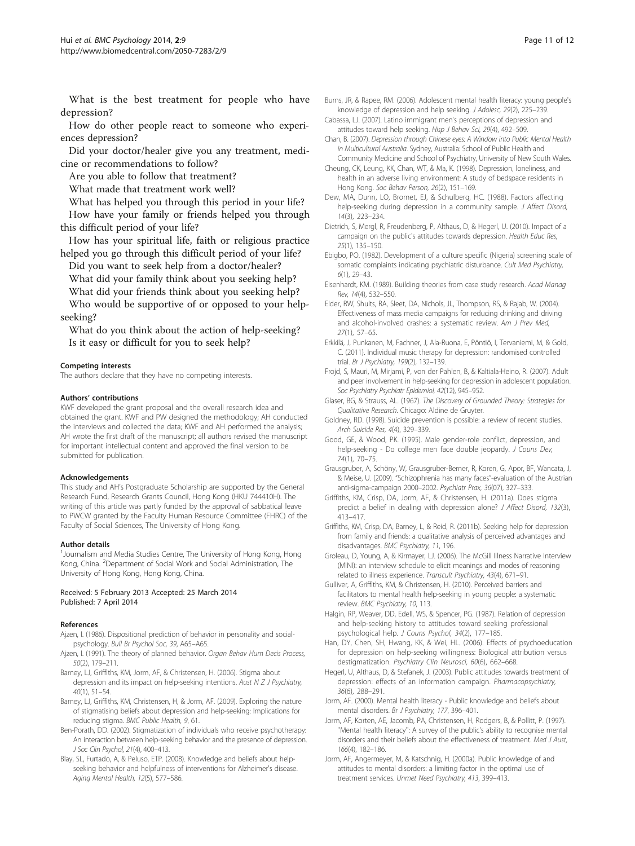<span id="page-10-0"></span>What is the best treatment for people who have depression?

How do other people react to someone who experiences depression?

Did your doctor/healer give you any treatment, medicine or recommendations to follow?

Are you able to follow that treatment?

What made that treatment work well?

What has helped you through this period in your life?

How have your family or friends helped you through this difficult period of your life?

How has your spiritual life, faith or religious practice helped you go through this difficult period of your life?

Did you want to seek help from a doctor/healer?

What did your family think about you seeking help?

What did your friends think about you seeking help?

Who would be supportive of or opposed to your helpseeking?

What do you think about the action of help-seeking? Is it easy or difficult for you to seek help?

#### Competing interests

The authors declare that they have no competing interests.

#### Authors' contributions

KWF developed the grant proposal and the overall research idea and obtained the grant. KWF and PW designed the methodology; AH conducted the interviews and collected the data; KWF and AH performed the analysis; AH wrote the first draft of the manuscript; all authors revised the manuscript for important intellectual content and approved the final version to be submitted for publication.

#### Acknowledgements

This study and AH's Postgraduate Scholarship are supported by the General Research Fund, Research Grants Council, Hong Kong (HKU 744410H). The writing of this article was partly funded by the approval of sabbatical leave to PWCW granted by the Faculty Human Resource Committee (FHRC) of the Faculty of Social Sciences, The University of Hong Kong.

#### Author details

<sup>1</sup> Journalism and Media Studies Centre, The University of Hong Kong, Hong Kong, China. <sup>2</sup>Department of Social Work and Social Administration, The University of Hong Kong, Hong Kong, China.

#### Received: 5 February 2013 Accepted: 25 March 2014 Published: 7 April 2014

#### References

- Ajzen, I. (1986). Dispositional prediction of behavior in personality and socialpsychology. Bull Br Psychol Soc, 39, A65–A65.
- Ajzen, I. (1991). The theory of planned behavior. Organ Behav Hum Decis Process, 50(2), 179–211.
- Barney, LJ, Griffiths, KM, Jorm, AF, & Christensen, H. (2006). Stigma about depression and its impact on help-seeking intentions. Aust N Z J Psychiatry, 40(1), 51–54.
- Barney, LJ, Griffiths, KM, Christensen, H, & Jorm, AF. (2009). Exploring the nature of stigmatising beliefs about depression and help-seeking: Implications for reducing stigma. BMC Public Health, 9, 61.
- Ben-Porath, DD. (2002). Stigmatization of individuals who receive psychotherapy: An interaction between help-seeking behavior and the presence of depression. J Soc Clin Psychol, 21(4), 400–413.
- Blay, SL, Furtado, A, & Peluso, ETP. (2008). Knowledge and beliefs about helpseeking behavior and helpfulness of interventions for Alzheimer's disease. Aging Mental Health, 12(5), 577–586.
- Burns, JR, & Rapee, RM. (2006). Adolescent mental health literacy: young people's knowledge of depression and help seeking. J Adolesc, 29(2), 225–239.
- Cabassa, LJ. (2007). Latino immigrant men's perceptions of depression and attitudes toward help seeking. Hisp J Behav Sci, 29(4), 492–509.
- Chan, B. (2007). Depression through Chinese eyes: A Window into Public Mental Health in Multicultural Australia. Sydney, Australia: School of Public Health and Community Medicine and School of Psychiatry, University of New South Wales.
- Cheung, CK, Leung, KK, Chan, WT, & Ma, K. (1998). Depression, loneliness, and health in an adverse living environment: A study of bedspace residents in Hong Kong. Soc Behav Person, 26(2), 151–169.
- Dew, MA, Dunn, LO, Bromet, EJ, & Schulberg, HC. (1988). Factors affecting help-seeking during depression in a community sample. J Affect Disord, 14(3), 223–234.
- Dietrich, S, Mergl, R, Freudenberg, P, Althaus, D, & Hegerl, U. (2010). Impact of a campaign on the public's attitudes towards depression. Health Educ Res, 25(1), 135–150.
- Ebigbo, PO. (1982). Development of a culture specific (Nigeria) screening scale of somatic complaints indicating psychiatric disturbance. Cult Med Psychiatry, 6(1), 29–43.
- Eisenhardt, KM. (1989). Building theories from case study research. Acad Manag Rev, 14(4), 532–550.
- Elder, RW, Shults, RA, Sleet, DA, Nichols, JL, Thompson, RS, & Rajab, W. (2004). Effectiveness of mass media campaigns for reducing drinking and driving and alcohol-involved crashes: a systematic review. Am J Prev Med, 27(1), 57–65.
- Erkkilä, J, Punkanen, M, Fachner, J, Ala-Ruona, E, Pöntiö, I, Tervaniemi, M, & Gold, C. (2011). Individual music therapy for depression: randomised controlled trial. Br J Psychiatry, 199(2), 132–139.
- Frojd, S, Mauri, M, Mirjami, P, von der Pahlen, B, & Kaltiala-Heino, R. (2007). Adult and peer involvement in help-seeking for depression in adolescent population. Soc Psychiatry Psychiatr Epidemiol, 42(12), 945–952.
- Glaser, BG, & Strauss, AL. (1967). The Discovery of Grounded Theory: Strategies for Qualitative Research. Chicago: Aldine de Gruyter.
- Goldney, RD. (1998). Suicide prevention is possible: a review of recent studies. Arch Suicide Res, 4(4), 329–339.
- Good, GE, & Wood, PK. (1995). Male gender-role conflict, depression, and help-seeking - Do college men face double jeopardy. J Couns Dev, 74(1), 70–75.
- Grausgruber, A, Schöny, W, Grausgruber-Berner, R, Koren, G, Apor, BF, Wancata, J, & Meise, U. (2009). "Schizophrenia has many faces"-evaluation of the Austrian anti-sigma-campaign 2000–2002. Psychiatr Prax, 36(07), 327–333.
- Griffiths, KM, Crisp, DA, Jorm, AF, & Christensen, H. (2011a). Does stigma predict a belief in dealing with depression alone? J Affect Disord, 132(3), 413–417.
- Griffiths, KM, Crisp, DA, Barney, L, & Reid, R. (2011b). Seeking help for depression from family and friends: a qualitative analysis of perceived advantages and disadvantages. BMC Psychiatry, 11, 196.
- Groleau, D, Young, A, & Kirmayer, LJ. (2006). The McGill Illness Narrative Interview (MINI): an interview schedule to elicit meanings and modes of reasoning related to illness experience. Transcult Psychiatry, 43(4), 671–91.
- Gulliver, A, Griffiths, KM, & Christensen, H. (2010). Perceived barriers and facilitators to mental health help-seeking in young people: a systematic review. BMC Psychiatry, 10, 113.
- Halgin, RP, Weaver, DD, Edell, WS, & Spencer, PG. (1987). Relation of depression and help-seeking history to attitudes toward seeking professional psychological help. J Couns Psychol, 34(2), 177–185.
- Han, DY, Chen, SH, Hwang, KK, & Wei, HL. (2006). Effects of psychoeducation for depression on help-seeking willingness: Biological attribution versus destigmatization. Psychiatry Clin Neurosci, 60(6), 662–668.
- Hegerl, U, Althaus, D, & Stefanek, J. (2003). Public attitudes towards treatment of depression: effects of an information campaign. Pharmacopsychiatry, 36(6), 288–291.
- Jorm, AF. (2000). Mental health literacy Public knowledge and beliefs about mental disorders. Br J Psychiatry, 177, 396–401.
- Jorm, AF, Korten, AE, Jacomb, PA, Christensen, H, Rodgers, B, & Pollitt, P. (1997). ''Mental health literacy'': A survey of the public's ability to recognise mental disorders and their beliefs about the effectiveness of treatment. Med J Aust, 166(4), 182–186.
- Jorm, AF, Angermeyer, M, & Katschnig, H. (2000a). Public knowledge of and attitudes to mental disorders: a limiting factor in the optimal use of treatment services. Unmet Need Psychiatry, 413, 399–413.